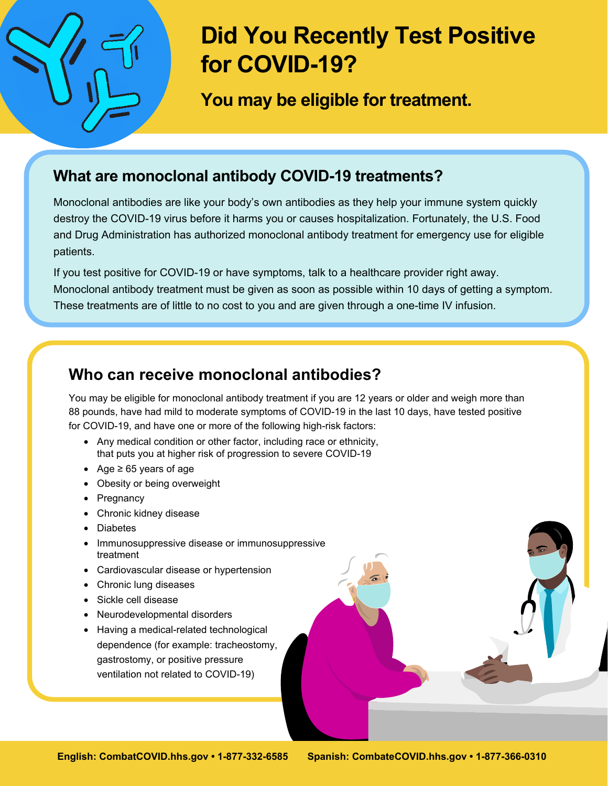

# **Did You Recently Test Positive for COVID-19?**

**You may be eligible for treatment.**

### **What are monoclonal antibody COVID-19 treatments?**

Monoclonal antibodies are like your body's own antibodies as they help your immune system quickly destroy the COVID-19 virus before it harms you or causes hospitalization. Fortunately, the U.S. Food and Drug Administration has authorized monoclonal antibody treatment for emergency use for eligible patients.

If you test positive for COVID-19 or have symptoms, talk to a healthcare provider right away. Monoclonal antibody treatment must be given as soon as possible within 10 days of getting a symptom. These treatments are of little to no cost to you and are given through a one-time IV infusion.

#### **Who can receive monoclonal antibodies?**

You may be eligible for monoclonal antibody treatment if you are 12 years or older and weigh more than 88 pounds, have had mild to moderate symptoms of COVID-19 in the last 10 days, have tested positive for COVID-19, and have one or more of the following high-risk factors:

- Any medical condition or other factor, including race or ethnicity, that puts you at higher risk of progression to severe COVID-19
- Age ≥ 65 years of age
- Obesity or being overweight
- Pregnancy
- Chronic kidney disease
- **Diabetes**
- Immunosuppressive disease or immunosuppressive treatment
- Cardiovascular disease or hypertension
- Chronic lung diseases
- Sickle cell disease
- Neurodevelopmental disorders
- Having a medical-related technological dependence (for example: tracheostomy, gastrostomy, or positive pressure ventilation not related to COVID-19)